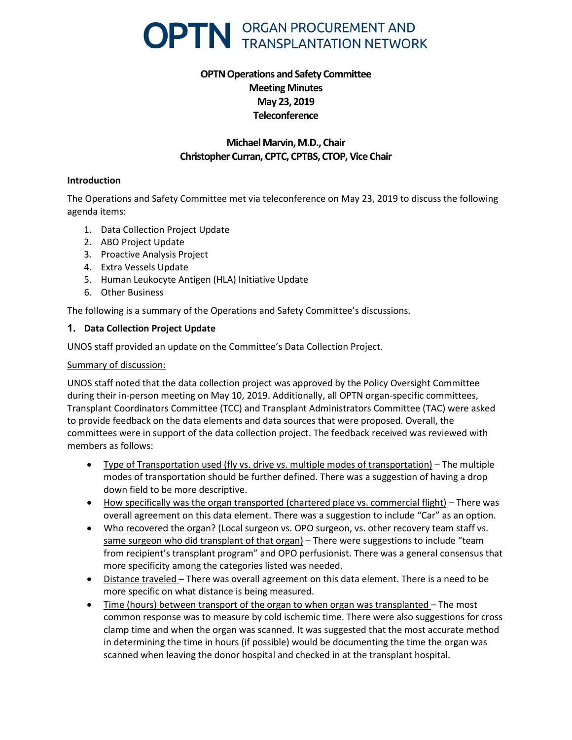

# **OPTN Operations and Safety Committee Meeting Minutes May 23, 2019 Teleconference**

# **Michael Marvin, M.D., Chair Christopher Curran, CPTC, CPTBS, CTOP, Vice Chair**

### **Introduction**

The Operations and Safety Committee met via teleconference on May 23, 2019 to discuss the following agenda items:

- 1. Data Collection Project Update
- 2. ABO Project Update
- 3. Proactive Analysis Project
- 4. Extra Vessels Update
- 5. Human Leukocyte Antigen (HLA) Initiative Update
- 6. Other Business

The following is a summary of the Operations and Safety Committee's discussions.

### **1. Data Collection Project Update**

UNOS staff provided an update on the Committee's Data Collection Project.

#### Summary of discussion:

UNOS staff noted that the data collection project was approved by the Policy Oversight Committee during their in-person meeting on May 10, 2019. Additionally, all OPTN organ-specific committees, Transplant Coordinators Committee (TCC) and Transplant Administrators Committee (TAC) were asked to provide feedback on the data elements and data sources that were proposed. Overall, the committees were in support of the data collection project. The feedback received was reviewed with members as follows:

- Type of Transportation used (fly vs. drive vs. multiple modes of transportation) The multiple modes of transportation should be further defined. There was a suggestion of having a drop down field to be more descriptive.
- How specifically was the organ transported (chartered place vs. commercial flight) There was overall agreement on this data element. There was a suggestion to include "Car" as an option.
- Who recovered the organ? (Local surgeon vs. OPO surgeon, vs. other recovery team staff vs. same surgeon who did transplant of that organ) – There were suggestions to include "team from recipient's transplant program" and OPO perfusionist. There was a general consensus that more specificity among the categories listed was needed.
- Distance traveled There was overall agreement on this data element. There is a need to be more specific on what distance is being measured.
- Time (hours) between transport of the organ to when organ was transplanted The most common response was to measure by cold ischemic time. There were also suggestions for cross clamp time and when the organ was scanned. It was suggested that the most accurate method in determining the time in hours (if possible) would be documenting the time the organ was scanned when leaving the donor hospital and checked in at the transplant hospital.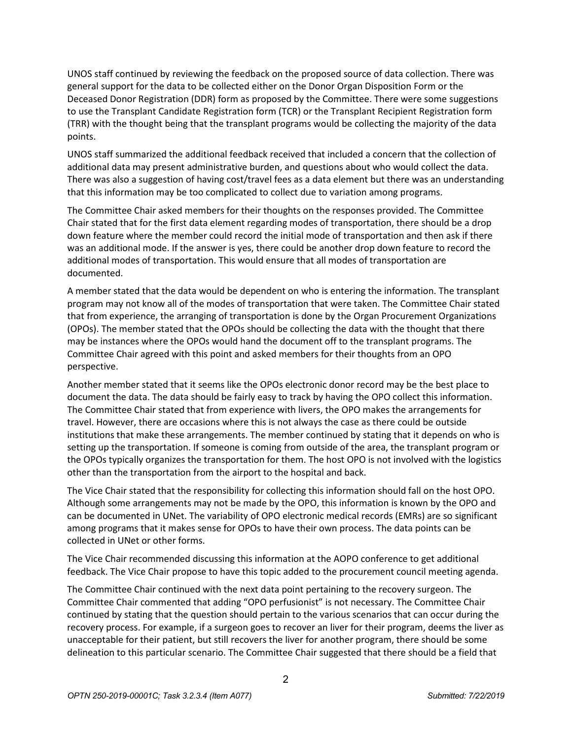UNOS staff continued by reviewing the feedback on the proposed source of data collection. There was general support for the data to be collected either on the Donor Organ Disposition Form or the Deceased Donor Registration (DDR) form as proposed by the Committee. There were some suggestions to use the Transplant Candidate Registration form (TCR) or the Transplant Recipient Registration form (TRR) with the thought being that the transplant programs would be collecting the majority of the data points.

UNOS staff summarized the additional feedback received that included a concern that the collection of additional data may present administrative burden, and questions about who would collect the data. There was also a suggestion of having cost/travel fees as a data element but there was an understanding that this information may be too complicated to collect due to variation among programs.

The Committee Chair asked members for their thoughts on the responses provided. The Committee Chair stated that for the first data element regarding modes of transportation, there should be a drop down feature where the member could record the initial mode of transportation and then ask if there was an additional mode. If the answer is yes, there could be another drop down feature to record the additional modes of transportation. This would ensure that all modes of transportation are documented.

A member stated that the data would be dependent on who is entering the information. The transplant program may not know all of the modes of transportation that were taken. The Committee Chair stated that from experience, the arranging of transportation is done by the Organ Procurement Organizations (OPOs). The member stated that the OPOs should be collecting the data with the thought that there may be instances where the OPOs would hand the document off to the transplant programs. The Committee Chair agreed with this point and asked members for their thoughts from an OPO perspective.

Another member stated that it seems like the OPOs electronic donor record may be the best place to document the data. The data should be fairly easy to track by having the OPO collect this information. The Committee Chair stated that from experience with livers, the OPO makes the arrangements for travel. However, there are occasions where this is not always the case as there could be outside institutions that make these arrangements. The member continued by stating that it depends on who is setting up the transportation. If someone is coming from outside of the area, the transplant program or the OPOs typically organizes the transportation for them. The host OPO is not involved with the logistics other than the transportation from the airport to the hospital and back.

The Vice Chair stated that the responsibility for collecting this information should fall on the host OPO. Although some arrangements may not be made by the OPO, this information is known by the OPO and can be documented in UNet. The variability of OPO electronic medical records (EMRs) are so significant among programs that it makes sense for OPOs to have their own process. The data points can be collected in UNet or other forms.

The Vice Chair recommended discussing this information at the AOPO conference to get additional feedback. The Vice Chair propose to have this topic added to the procurement council meeting agenda.

The Committee Chair continued with the next data point pertaining to the recovery surgeon. The Committee Chair commented that adding "OPO perfusionist" is not necessary. The Committee Chair continued by stating that the question should pertain to the various scenarios that can occur during the recovery process. For example, if a surgeon goes to recover an liver for their program, deems the liver as unacceptable for their patient, but still recovers the liver for another program, there should be some delineation to this particular scenario. The Committee Chair suggested that there should be a field that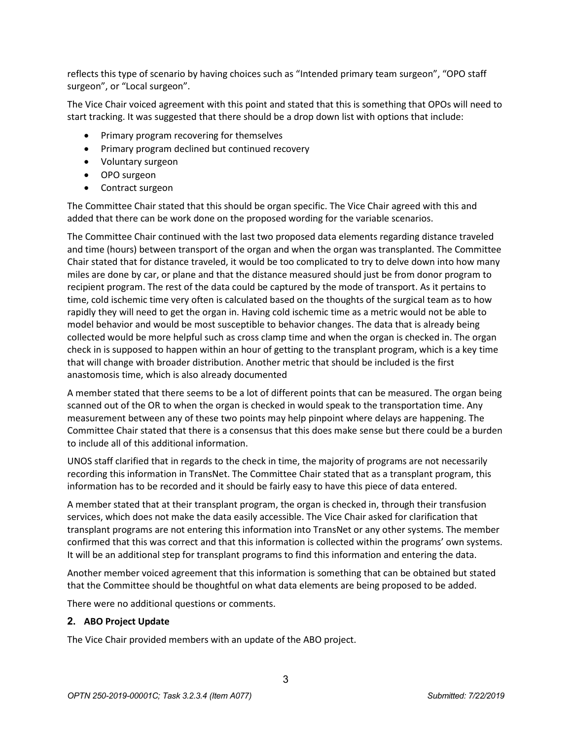reflects this type of scenario by having choices such as "Intended primary team surgeon", "OPO staff surgeon", or "Local surgeon".

The Vice Chair voiced agreement with this point and stated that this is something that OPOs will need to start tracking. It was suggested that there should be a drop down list with options that include:

- Primary program recovering for themselves
- Primary program declined but continued recovery
- Voluntary surgeon
- OPO surgeon
- Contract surgeon

The Committee Chair stated that this should be organ specific. The Vice Chair agreed with this and added that there can be work done on the proposed wording for the variable scenarios.

The Committee Chair continued with the last two proposed data elements regarding distance traveled and time (hours) between transport of the organ and when the organ was transplanted. The Committee Chair stated that for distance traveled, it would be too complicated to try to delve down into how many miles are done by car, or plane and that the distance measured should just be from donor program to recipient program. The rest of the data could be captured by the mode of transport. As it pertains to time, cold ischemic time very often is calculated based on the thoughts of the surgical team as to how rapidly they will need to get the organ in. Having cold ischemic time as a metric would not be able to model behavior and would be most susceptible to behavior changes. The data that is already being collected would be more helpful such as cross clamp time and when the organ is checked in. The organ check in is supposed to happen within an hour of getting to the transplant program, which is a key time that will change with broader distribution. Another metric that should be included is the first anastomosis time, which is also already documented

A member stated that there seems to be a lot of different points that can be measured. The organ being scanned out of the OR to when the organ is checked in would speak to the transportation time. Any measurement between any of these two points may help pinpoint where delays are happening. The Committee Chair stated that there is a consensus that this does make sense but there could be a burden to include all of this additional information.

UNOS staff clarified that in regards to the check in time, the majority of programs are not necessarily recording this information in TransNet. The Committee Chair stated that as a transplant program, this information has to be recorded and it should be fairly easy to have this piece of data entered.

A member stated that at their transplant program, the organ is checked in, through their transfusion services, which does not make the data easily accessible. The Vice Chair asked for clarification that transplant programs are not entering this information into TransNet or any other systems. The member confirmed that this was correct and that this information is collected within the programs' own systems. It will be an additional step for transplant programs to find this information and entering the data.

Another member voiced agreement that this information is something that can be obtained but stated that the Committee should be thoughtful on what data elements are being proposed to be added.

There were no additional questions or comments.

### **2. ABO Project Update**

The Vice Chair provided members with an update of the ABO project.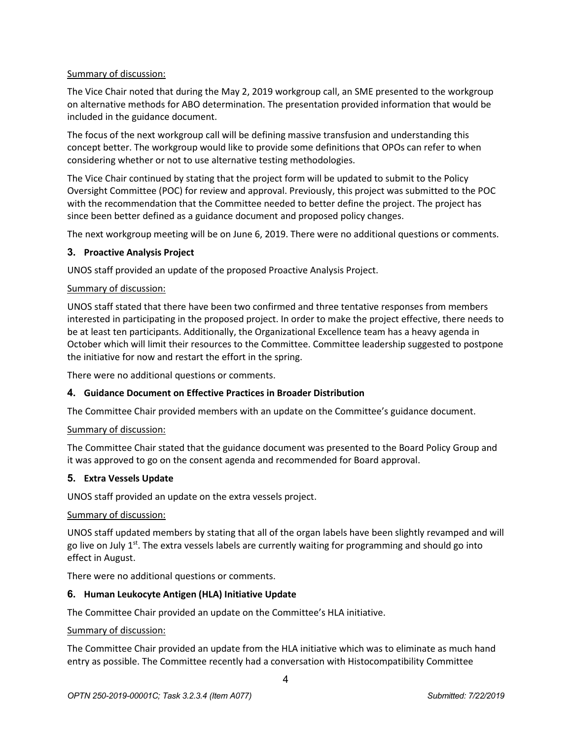# Summary of discussion:

The Vice Chair noted that during the May 2, 2019 workgroup call, an SME presented to the workgroup on alternative methods for ABO determination. The presentation provided information that would be included in the guidance document.

The focus of the next workgroup call will be defining massive transfusion and understanding this concept better. The workgroup would like to provide some definitions that OPOs can refer to when considering whether or not to use alternative testing methodologies.

The Vice Chair continued by stating that the project form will be updated to submit to the Policy Oversight Committee (POC) for review and approval. Previously, this project was submitted to the POC with the recommendation that the Committee needed to better define the project. The project has since been better defined as a guidance document and proposed policy changes.

The next workgroup meeting will be on June 6, 2019. There were no additional questions or comments.

# **3. Proactive Analysis Project**

UNOS staff provided an update of the proposed Proactive Analysis Project.

# Summary of discussion:

UNOS staff stated that there have been two confirmed and three tentative responses from members interested in participating in the proposed project. In order to make the project effective, there needs to be at least ten participants. Additionally, the Organizational Excellence team has a heavy agenda in October which will limit their resources to the Committee. Committee leadership suggested to postpone the initiative for now and restart the effort in the spring.

There were no additional questions or comments.

# **4. Guidance Document on Effective Practices in Broader Distribution**

The Committee Chair provided members with an update on the Committee's guidance document.

### Summary of discussion:

The Committee Chair stated that the guidance document was presented to the Board Policy Group and it was approved to go on the consent agenda and recommended for Board approval.

### **5. Extra Vessels Update**

UNOS staff provided an update on the extra vessels project.

### Summary of discussion:

UNOS staff updated members by stating that all of the organ labels have been slightly revamped and will go live on July  $1<sup>st</sup>$ . The extra vessels labels are currently waiting for programming and should go into effect in August.

There were no additional questions or comments.

### **6. Human Leukocyte Antigen (HLA) Initiative Update**

The Committee Chair provided an update on the Committee's HLA initiative.

### Summary of discussion:

The Committee Chair provided an update from the HLA initiative which was to eliminate as much hand entry as possible. The Committee recently had a conversation with Histocompatibility Committee